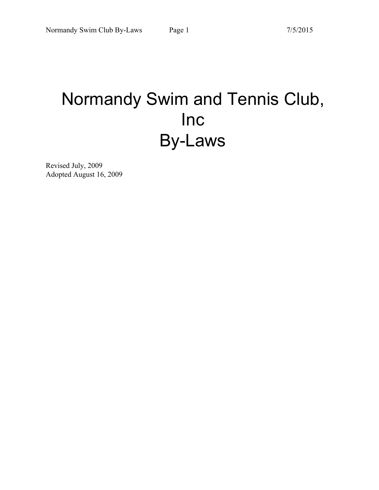# Normandy Swim and Tennis Club, Inc By-Laws

Revised July, 2009 Adopted August 16, 2009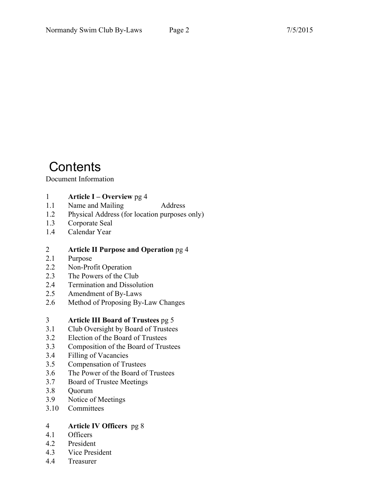# **Contents**

## Document Information

- 1 **Article I Overview** pg 4<br>1.1 Name and Mailing
- Name and Mailing Address
- 1.2 Physical Address (for location purposes only)
- 1.3 Corporate Seal
- 1.4 Calendar Year

# 2 **Article II Purpose and Operation** pg 4

- Purpose
- 2.2 Non-Profit Operation
- 2.3 The Powers of the Club
- 2.4 Termination and Dissolution
- 2.5 Amendment of By-Laws
- 2.6 Method of Proposing By-Law Changes

# 3 **Article III Board of Trustees** pg 5

- 3.1 Club Oversight by Board of Trustees
- 3.2 Election of the Board of Trustees
- 3.3 Composition of the Board of Trustees
- 3.4 Filling of Vacancies
- 3.5 Compensation of Trustees
- 3.6 The Power of the Board of Trustees
- 3.7 Board of Trustee Meetings
- 3.8 Quorum
- 3.9 Notice of Meetings
- 3.10 Committees

# 4 **Article IV Officers** pg 8

- **Officers**
- 4.2 President
- 4.3 Vice President
- 4.4 Treasurer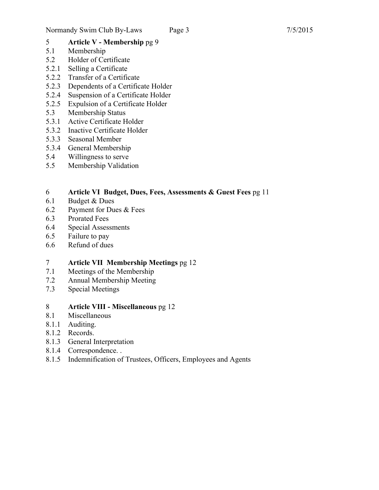# 5 **Article V - Membership** pg 9

- Membership
- 5.2 Holder of Certificate
- 5.2.1 Selling a Certificate
- 5.2.2 Transfer of a Certificate
- 5.2.3 Dependents of a Certificate Holder
- 5.2.4 Suspension of a Certificate Holder
- 5.2.5 Expulsion of a Certificate Holder
- 5.3 Membership Status
- 5.3.1 Active Certificate Holder
- 5.3.2 Inactive Certificate Holder
- 5.3.3 Seasonal Member
- 5.3.4 General Membership
- 5.4 Willingness to serve
- 5.5 Membership Validation

# 6 **Article VI Budget, Dues, Fees, Assessments & Guest Fees** pg 11

- Budget & Dues
- 6.2 Payment for Dues & Fees
- 6.3 Prorated Fees
- 6.4 Special Assessments
- 6.5 Failure to pay
- 6.6 Refund of dues

# 7 **Article VII Membership Meetings** pg 12<br>7.1 Meetings of the Membership

- Meetings of the Membership
- 7.2 Annual Membership Meeting
- 7.3 Special Meetings

# 8 **Article VIII - Miscellaneous** pg 12

- **Miscellaneous**
- 8.1.1 Auditing.
- 8.1.2 Records.
- 8.1.3 General Interpretation
- 8.1.4 Correspondence. .
- 8.1.5 Indemnification of Trustees, Officers, Employees and Agents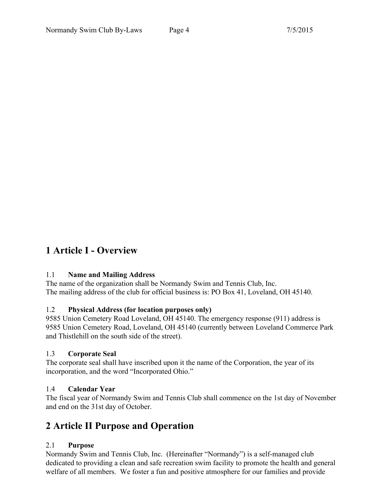# **1 Article I - Overview**

### 1.1 **Name and Mailing Address**

The name of the organization shall be Normandy Swim and Tennis Club, Inc. The mailing address of the club for official business is: PO Box 41, Loveland, OH 45140.

### 1.2 **Physical Address (for location purposes only)**

9585 Union Cemetery Road Loveland, OH 45140. The emergency response (911) address is 9585 Union Cemetery Road, Loveland, OH 45140 (currently between Loveland Commerce Park and Thistlehill on the south side of the street).

#### 1.3 **Corporate Seal**

The corporate seal shall have inscribed upon it the name of the Corporation, the year of its incorporation, and the word "Incorporated Ohio."

### 1.4 **Calendar Year**

The fiscal year of Normandy Swim and Tennis Club shall commence on the 1st day of November and end on the 31st day of October.

# **2 Article II Purpose and Operation**

### 2.1 **Purpose**

Normandy Swim and Tennis Club, Inc. (Hereinafter "Normandy") is a self-managed club dedicated to providing a clean and safe recreation swim facility to promote the health and general welfare of all members. We foster a fun and positive atmosphere for our families and provide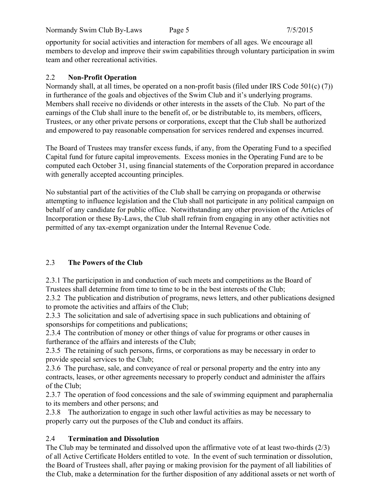Normandy Swim Club By-Laws Page 5 7/5/2015

opportunity for social activities and interaction for members of all ages. We encourage all members to develop and improve their swim capabilities through voluntary participation in swim team and other recreational activities.

# 2.2 **Non-Profit Operation**

Normandy shall, at all times, be operated on a non-profit basis (filed under IRS Code 501(c) (7)) in furtherance of the goals and objectives of the Swim Club and it's underlying programs. Members shall receive no dividends or other interests in the assets of the Club. No part of the earnings of the Club shall inure to the benefit of, or be distributable to, its members, officers, Trustees, or any other private persons or corporations, except that the Club shall be authorized and empowered to pay reasonable compensation for services rendered and expenses incurred.

The Board of Trustees may transfer excess funds, if any, from the Operating Fund to a specified Capital fund for future capital improvements. Excess monies in the Operating Fund are to be computed each October 31, using financial statements of the Corporation prepared in accordance with generally accepted accounting principles.

No substantial part of the activities of the Club shall be carrying on propaganda or otherwise attempting to influence legislation and the Club shall not participate in any political campaign on behalf of any candidate for public office. Notwithstanding any other provision of the Articles of Incorporation or these By-Laws, the Club shall refrain from engaging in any other activities not permitted of any tax-exempt organization under the Internal Revenue Code.

# 2.3 **The Powers of the Club**

2.3.1 The participation in and conduction of such meets and competitions as the Board of Trustees shall determine from time to time to be in the best interests of the Club;

2.3.2 The publication and distribution of programs, news letters, and other publications designed to promote the activities and affairs of the Club;

2.3.3 The solicitation and sale of advertising space in such publications and obtaining of sponsorships for competitions and publications;

2.3.4 The contribution of money or other things of value for programs or other causes in furtherance of the affairs and interests of the Club;

2.3.5 The retaining of such persons, firms, or corporations as may be necessary in order to provide special services to the Club;

2.3.6 The purchase, sale, and conveyance of real or personal property and the entry into any contracts, leases, or other agreements necessary to properly conduct and administer the affairs of the Club;

2.3.7 The operation of food concessions and the sale of swimming equipment and paraphernalia to its members and other persons; and

2.3.8 The authorization to engage in such other lawful activities as may be necessary to properly carry out the purposes of the Club and conduct its affairs.

# 2.4 **Termination and Dissolution**

The Club may be terminated and dissolved upon the affirmative vote of at least two-thirds (2/3) of all Active Certificate Holders entitled to vote. In the event of such termination or dissolution, the Board of Trustees shall, after paying or making provision for the payment of all liabilities of the Club, make a determination for the further disposition of any additional assets or net worth of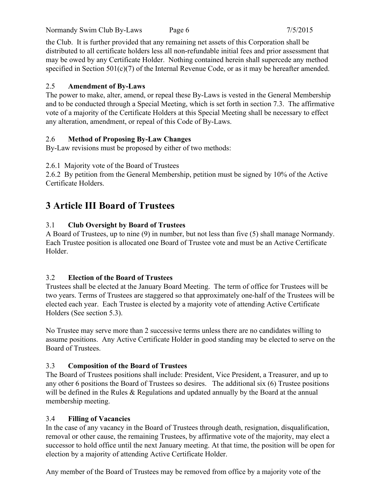Normandy Swim Club By-Laws Page 6 7/5/2015

the Club. It is further provided that any remaining net assets of this Corporation shall be distributed to all certificate holders less all non-refundable initial fees and prior assessment that may be owed by any Certificate Holder. Nothing contained herein shall supercede any method specified in Section 501(c)(7) of the Internal Revenue Code, or as it may be hereafter amended.

# 2.5 **Amendment of By-Laws**

The power to make, alter, amend, or repeal these By-Laws is vested in the General Membership and to be conducted through a Special Meeting, which is set forth in section 7.3. The affirmative vote of a majority of the Certificate Holders at this Special Meeting shall be necessary to effect any alteration, amendment, or repeal of this Code of By-Laws.

# 2.6 **Method of Proposing By-Law Changes**

By-Law revisions must be proposed by either of two methods:

2.6.1 Majority vote of the Board of Trustees

2.6.2 By petition from the General Membership, petition must be signed by 10% of the Active Certificate Holders.

# **3 Article III Board of Trustees**

# 3.1 **Club Oversight by Board of Trustees**

A Board of Trustees, up to nine (9) in number, but not less than five (5) shall manage Normandy. Each Trustee position is allocated one Board of Trustee vote and must be an Active Certificate Holder.

# 3.2 **Election of the Board of Trustees**

Trustees shall be elected at the January Board Meeting. The term of office for Trustees will be two years. Terms of Trustees are staggered so that approximately one-half of the Trustees will be elected each year. Each Trustee is elected by a majority vote of attending Active Certificate Holders (See section 5.3).

No Trustee may serve more than 2 successive terms unless there are no candidates willing to assume positions. Any Active Certificate Holder in good standing may be elected to serve on the Board of Trustees.

# 3.3 **Composition of the Board of Trustees**

The Board of Trustees positions shall include: President, Vice President, a Treasurer, and up to any other 6 positions the Board of Trustees so desires. The additional six (6) Trustee positions will be defined in the Rules & Regulations and updated annually by the Board at the annual membership meeting.

# 3.4 **Filling of Vacancies**

In the case of any vacancy in the Board of Trustees through death, resignation, disqualification, removal or other cause, the remaining Trustees, by affirmative vote of the majority, may elect a successor to hold office until the next January meeting. At that time, the position will be open for election by a majority of attending Active Certificate Holder.

Any member of the Board of Trustees may be removed from office by a majority vote of the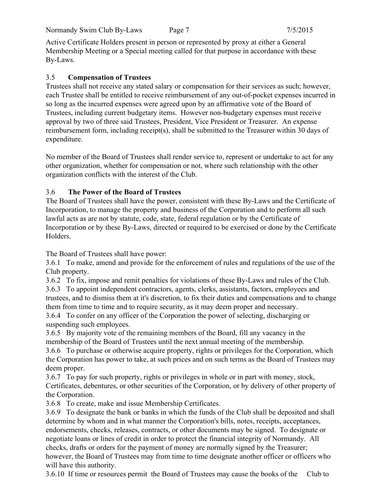Active Certificate Holders present in person or represented by proxy at either a General Membership Meeting or a Special meeting called for that purpose in accordance with these By-Laws.

### 3.5 **Compensation of Trustees**

Trustees shall not receive any stated salary or compensation for their services as such; however, each Trustee shall be entitled to receive reimbursement of any out-of-pocket expenses incurred in so long as the incurred expenses were agreed upon by an affirmative vote of the Board of Trustees, including current budgetary items. However non-budgetary expenses must receive approval by two of three said Trustees, President, Vice President or Treasurer. An expense reimbursement form, including receipt(s), shall be submitted to the Treasurer within 30 days of expenditure.

No member of the Board of Trustees shall render service to, represent or undertake to act for any other organization, whether for compensation or not, where such relationship with the other organization conflicts with the interest of the Club.

#### 3.6 **The Power of the Board of Trustees**

The Board of Trustees shall have the power, consistent with these By-Laws and the Certificate of Incorporation, to manage the property and business of the Corporation and to perform all such lawful acts as are not by statute, code, state, federal regulation or by the Certificate of Incorporation or by these By-Laws, directed or required to be exercised or done by the Certificate Holders.

The Board of Trustees shall have power:

3.6.1 To make, amend and provide for the enforcement of rules and regulations of the use of the Club property.

3.6.2 To fix, impose and remit penalties for violations of these By-Laws and rules of the Club.

3.6.3 To appoint independent contractors, agents, clerks, assistants, factors, employees and trustees, and to dismiss them at it's discretion, to fix their duties and compensations and to change them from time to time and to require security, as it may deem proper and necessary.

3.6.4 To confer on any officer of the Corporation the power of selecting, discharging or suspending such employees.

3.6.5 By majority vote of the remaining members of the Board, fill any vacancy in the membership of the Board of Trustees until the next annual meeting of the membership.

3.6.6 To purchase or otherwise acquire property, rights or privileges for the Corporation, which the Corporation has power to take, at such prices and on such terms as the Board of Trustees may deem proper.

3.6.7 To pay for such property, rights or privileges in whole or in part with money, stock, Certificates, debentures, or other securities of the Corporation, or by delivery of other property of the Corporation.

3.6.8 To create, make and issue Membership Certificates.

3.6.9 To designate the bank or banks in which the funds of the Club shall be deposited and shall determine by whom and in what manner the Corporation's bills, notes, receipts, acceptances, endorsements, checks, releases, contracts, or other documents may be signed. To designate or negotiate loans or lines of credit in order to protect the financial integrity of Normandy. All checks, drafts or orders for the payment of money are normally signed by the Treasurer; however, the Board of Trustees may from time to time designate another officer or officers who will have this authority.

3.6.10 If time or resources permit the Board of Trustees may cause the books of the Club to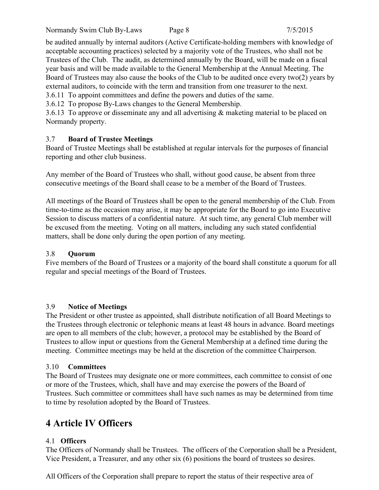be audited annually by internal auditors (Active Certificate-holding members with knowledge of acceptable accounting practices) selected by a majority vote of the Trustees, who shall not be Trustees of the Club. The audit, as determined annually by the Board, will be made on a fiscal year basis and will be made available to the General Membership at the Annual Meeting. The Board of Trustees may also cause the books of the Club to be audited once every two(2) years by external auditors, to coincide with the term and transition from one treasurer to the next.

3.6.11 To appoint committees and define the powers and duties of the same.

3.6.12 To propose By-Laws changes to the General Membership.

3.6.13 To approve or disseminate any and all advertising & maketing material to be placed on Normandy property.

# 3.7 **Board of Trustee Meetings**

Board of Trustee Meetings shall be established at regular intervals for the purposes of financial reporting and other club business.

Any member of the Board of Trustees who shall, without good cause, be absent from three consecutive meetings of the Board shall cease to be a member of the Board of Trustees.

All meetings of the Board of Trustees shall be open to the general membership of the Club. From time-to-time as the occasion may arise, it may be appropriate for the Board to go into Executive Session to discuss matters of a confidential nature. At such time, any general Club member will be excused from the meeting. Voting on all matters, including any such stated confidential matters, shall be done only during the open portion of any meeting.

# 3.8 **Quorum**

Five members of the Board of Trustees or a majority of the board shall constitute a quorum for all regular and special meetings of the Board of Trustees.

### 3.9 **Notice of Meetings**

The President or other trustee as appointed, shall distribute notification of all Board Meetings to the Trustees through electronic or telephonic means at least 48 hours in advance. Board meetings are open to all members of the club; however, a protocol may be established by the Board of Trustees to allow input or questions from the General Membership at a defined time during the meeting. Committee meetings may be held at the discretion of the committee Chairperson.

### 3.10 **Committees**

The Board of Trustees may designate one or more committees, each committee to consist of one or more of the Trustees, which, shall have and may exercise the powers of the Board of Trustees. Such committee or committees shall have such names as may be determined from time to time by resolution adopted by the Board of Trustees.

# **4 Article IV Officers**

# 4.1 **Officers**

The Officers of Normandy shall be Trustees. The officers of the Corporation shall be a President, Vice President, a Treasurer, and any other six (6) positions the board of trustees so desires.

All Officers of the Corporation shall prepare to report the status of their respective area of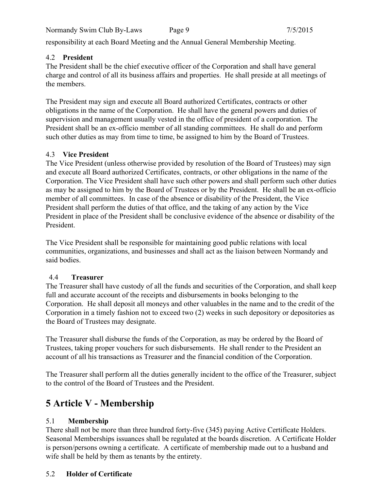Normandy Swim Club By-Laws Page 9 7/5/2015

responsibility at each Board Meeting and the Annual General Membership Meeting.

# 4.2 **President**

The President shall be the chief executive officer of the Corporation and shall have general charge and control of all its business affairs and properties. He shall preside at all meetings of the members.

The President may sign and execute all Board authorized Certificates, contracts or other obligations in the name of the Corporation. He shall have the general powers and duties of supervision and management usually vested in the office of president of a corporation. The President shall be an ex-officio member of all standing committees. He shall do and perform such other duties as may from time to time, be assigned to him by the Board of Trustees.

# 4.3 **Vice President**

The Vice President (unless otherwise provided by resolution of the Board of Trustees) may sign and execute all Board authorized Certificates, contracts, or other obligations in the name of the Corporation. The Vice President shall have such other powers and shall perform such other duties as may be assigned to him by the Board of Trustees or by the President. He shall be an ex-officio member of all committees. In case of the absence or disability of the President, the Vice President shall perform the duties of that office, and the taking of any action by the Vice President in place of the President shall be conclusive evidence of the absence or disability of the President.

The Vice President shall be responsible for maintaining good public relations with local communities, organizations, and businesses and shall act as the liaison between Normandy and said bodies.

# 4.4 **Treasurer**

The Treasurer shall have custody of all the funds and securities of the Corporation, and shall keep full and accurate account of the receipts and disbursements in books belonging to the Corporation. He shall deposit all moneys and other valuables in the name and to the credit of the Corporation in a timely fashion not to exceed two (2) weeks in such depository or depositories as the Board of Trustees may designate.

The Treasurer shall disburse the funds of the Corporation, as may be ordered by the Board of Trustees, taking proper vouchers for such disbursements. He shall render to the President an account of all his transactions as Treasurer and the financial condition of the Corporation.

The Treasurer shall perform all the duties generally incident to the office of the Treasurer, subject to the control of the Board of Trustees and the President.

# **5 Article V - Membership**

# 5.1 **Membership**

There shall not be more than three hundred forty-five (345) paying Active Certificate Holders. Seasonal Memberships issuances shall be regulated at the boards discretion. A Certificate Holder is person/persons owning a certificate. A certificate of membership made out to a husband and wife shall be held by them as tenants by the entirety.

# 5.2 **Holder of Certificate**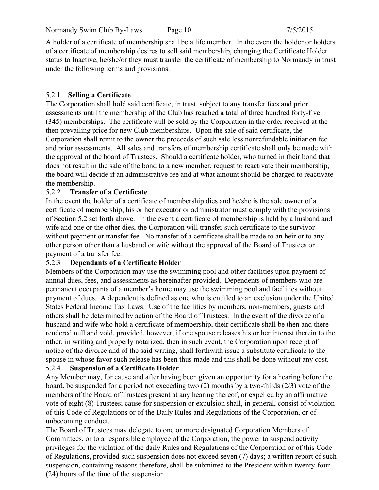Normandy Swim Club By-Laws Page 10 7/5/2015

A holder of a certificate of membership shall be a life member. In the event the holder or holders of a certificate of membership desires to sell said membership, changing the Certificate Holder status to Inactive, he/she/or they must transfer the certificate of membership to Normandy in trust under the following terms and provisions.

# 5.2.1 **Selling a Certificate**

The Corporation shall hold said certificate, in trust, subject to any transfer fees and prior assessments until the membership of the Club has reached a total of three hundred forty-five (345) memberships. The certificate will be sold by the Corporation in the order received at the then prevailing price for new Club memberships. Upon the sale of said certificate, the Corporation shall remit to the owner the proceeds of such sale less nonrefundable initiation fee and prior assessments. All sales and transfers of membership certificate shall only be made with the approval of the board of Trustees. Should a certificate holder, who turned in their bond that does not result in the sale of the bond to a new member, request to reactivate their membership, the board will decide if an administrative fee and at what amount should be charged to reactivate the membership.

## 5.2.2 **Transfer of a Certificate**

In the event the holder of a certificate of membership dies and he/she is the sole owner of a certificate of membership, his or her executor or administrator must comply with the provisions of Section 5.2 set forth above. In the event a certificate of membership is held by a husband and wife and one or the other dies, the Corporation will transfer such certificate to the survivor without payment or transfer fee. No transfer of a certificate shall be made to an heir or to any other person other than a husband or wife without the approval of the Board of Trustees or payment of a transfer fee.

### 5.2.3 **Dependants of a Certificate Holder**

Members of the Corporation may use the swimming pool and other facilities upon payment of annual dues, fees, and assessments as hereinafter provided. Dependents of members who are permanent occupants of a member's home may use the swimming pool and facilities without payment of dues. A dependent is defined as one who is entitled to an exclusion under the United States Federal Income Tax Laws. Use of the facilities by members, non-members, guests and others shall be determined by action of the Board of Trustees. In the event of the divorce of a husband and wife who hold a certificate of membership, their certificate shall be then and there rendered null and void, provided, however, if one spouse releases his or her interest therein to the other, in writing and properly notarized, then in such event, the Corporation upon receipt of notice of the divorce and of the said writing, shall forthwith issue a substitute certificate to the spouse in whose favor such release has been thus made and this shall be done without any cost.

# 5.2.4 **Suspension of a Certificate Holder**

Any Member may, for cause and after having been given an opportunity for a hearing before the board, be suspended for a period not exceeding two (2) months by a two-thirds (2/3) vote of the members of the Board of Trustees present at any hearing thereof, or expelled by an affirmative vote of eight (8) Trustees; cause for suspension or expulsion shall, in general, consist of violation of this Code of Regulations or of the Daily Rules and Regulations of the Corporation, or of unbecoming conduct.

The Board of Trustees may delegate to one or more designated Corporation Members of Committees, or to a responsible employee of the Corporation, the power to suspend activity privileges for the violation of the daily Rules and Regulations of the Corporation or of this Code of Regulations, provided such suspension does not exceed seven (7) days; a written report of such suspension, containing reasons therefore, shall be submitted to the President within twenty-four (24) hours of the time of the suspension.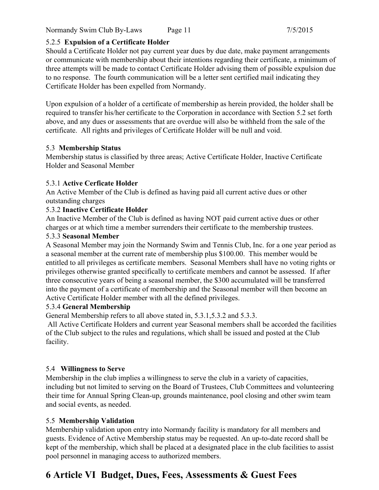Normandy Swim Club By-Laws Page 11 7/5/2015

### 5.2.5 **Expulsion of a Certificate Holder**

Should a Certificate Holder not pay current year dues by due date, make payment arrangements or communicate with membership about their intentions regarding their certificate, a minimum of three attempts will be made to contact Certificate Holder advising them of possible expulsion due to no response. The fourth communication will be a letter sent certified mail indicating they Certificate Holder has been expelled from Normandy.

Upon expulsion of a holder of a certificate of membership as herein provided, the holder shall be required to transfer his/her certificate to the Corporation in accordance with Section 5.2 set forth above, and any dues or assessments that are overdue will also be withheld from the sale of the certificate. All rights and privileges of Certificate Holder will be null and void.

## 5.3 **Membership Status**

Membership status is classified by three areas; Active Certificate Holder, Inactive Certificate Holder and Seasonal Member

## 5.3.1 **Active Cerficate Holder**

An Active Member of the Club is defined as having paid all current active dues or other outstanding charges

## 5.3.2 **Inactive Certificate Holder**

An Inactive Member of the Club is defined as having NOT paid current active dues or other charges or at which time a member surrenders their certificate to the membership trustees.

## 5.3.3 **Seasonal Member**

A Seasonal Member may join the Normandy Swim and Tennis Club, Inc. for a one year period as a seasonal member at the current rate of membership plus \$100.00. This member would be entitled to all privileges as certificate members. Seasonal Members shall have no voting rights or privileges otherwise granted specifically to certificate members and cannot be assessed. If after three consecutive years of being a seasonal member, the \$300 accumulated will be transferred into the payment of a certificate of membership and the Seasonal member will then become an Active Certificate Holder member with all the defined privileges.

### 5.3.4 **General Membership**

General Membership refers to all above stated in, 5.3.1,5.3.2 and 5.3.3.

All Active Certificate Holders and current year Seasonal members shall be accorded the facilities of the Club subject to the rules and regulations, which shall be issued and posted at the Club facility.

# 5.4 **Willingness to Serve**

Membership in the club implies a willingness to serve the club in a variety of capacities, including but not limited to serving on the Board of Trustees, Club Committees and volunteering their time for Annual Spring Clean-up, grounds maintenance, pool closing and other swim team and social events, as needed.

# 5.5 **Membership Validation**

Membership validation upon entry into Normandy facility is mandatory for all members and guests. Evidence of Active Membership status may be requested. An up-to-date record shall be kept of the membership, which shall be placed at a designated place in the club facilities to assist pool personnel in managing access to authorized members.

# **6 Article VI Budget, Dues, Fees, Assessments & Guest Fees**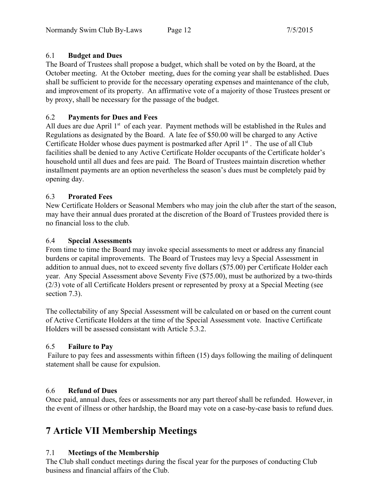## 6.1 **Budget and Dues**

The Board of Trustees shall propose a budget, which shall be voted on by the Board, at the October meeting. At the October meeting, dues for the coming year shall be established. Dues shall be sufficient to provide for the necessary operating expenses and maintenance of the club, and improvement of its property. An affirmative vote of a majority of those Trustees present or by proxy, shall be necessary for the passage of the budget.

# 6.2 **Payments for Dues and Fees**

All dues are due April 1<sup>st</sup> of each year. Payment methods will be established in the Rules and Regulations as designated by the Board. A late fee of \$50.00 will be charged to any Active Certificate Holder whose dues payment is postmarked after April  $1<sup>st</sup>$ . The use of all Club facilities shall be denied to any Active Certificate Holder occupants of the Certificate holder's household until all dues and fees are paid. The Board of Trustees maintain discretion whether installment payments are an option nevertheless the season's dues must be completely paid by opening day.

## 6.3 **Prorated Fees**

New Certificate Holders or Seasonal Members who may join the club after the start of the season, may have their annual dues prorated at the discretion of the Board of Trustees provided there is no financial loss to the club.

### 6.4 **Special Assessments**

From time to time the Board may invoke special assessments to meet or address any financial burdens or capital improvements. The Board of Trustees may levy a Special Assessment in addition to annual dues, not to exceed seventy five dollars (\$75.00) per Certificate Holder each year. Any Special Assessment above Seventy Five (\$75.00), must be authorized by a two-thirds (2/3) vote of all Certificate Holders present or represented by proxy at a Special Meeting (see section 7.3).

The collectability of any Special Assessment will be calculated on or based on the current count of Active Certificate Holders at the time of the Special Assessment vote. Inactive Certificate Holders will be assessed consistant with Article 5.3.2.

# 6.5 **Failure to Pay**

 Failure to pay fees and assessments within fifteen (15) days following the mailing of delinquent statement shall be cause for expulsion.

# 6.6 **Refund of Dues**

Once paid, annual dues, fees or assessments nor any part thereof shall be refunded. However, in the event of illness or other hardship, the Board may vote on a case-by-case basis to refund dues.

# **7 Article VII Membership Meetings**

# 7.1 **Meetings of the Membership**

The Club shall conduct meetings during the fiscal year for the purposes of conducting Club business and financial affairs of the Club.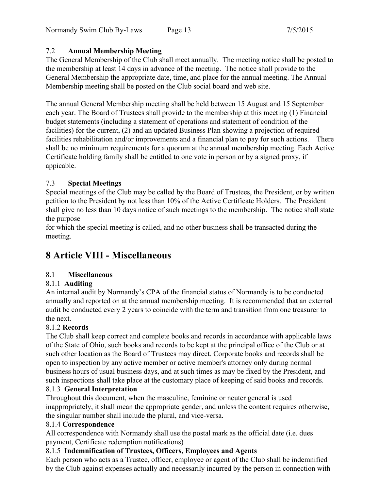# 7.2 **Annual Membership Meeting**

The General Membership of the Club shall meet annually. The meeting notice shall be posted to the membership at least 14 days in advance of the meeting. The notice shall provide to the General Membership the appropriate date, time, and place for the annual meeting. The Annual Membership meeting shall be posted on the Club social board and web site.

The annual General Membership meeting shall be held between 15 August and 15 September each year. The Board of Trustees shall provide to the membership at this meeting (1) Financial budget statements (including a statement of operations and statement of condition of the facilities) for the current, (2) and an updated Business Plan showing a projection of required facilities rehabilitation and/or improvements and a financial plan to pay for such actions. There shall be no minimum requirements for a quorum at the annual membership meeting. Each Active Certificate holding family shall be entitled to one vote in person or by a signed proxy, if appicable.

# 7.3 **Special Meetings**

Special meetings of the Club may be called by the Board of Trustees, the President, or by written petition to the President by not less than 10% of the Active Certificate Holders. The President shall give no less than 10 days notice of such meetings to the membership. The notice shall state the purpose

for which the special meeting is called, and no other business shall be transacted during the meeting.

# **8 Article VIII - Miscellaneous**

# 8.1 **Miscellaneous**

# 8.1.1 **Auditing**

An internal audit by Normandy's CPA of the financial status of Normandy is to be conducted annually and reported on at the annual membership meeting. It is recommended that an external audit be conducted every 2 years to coincide with the term and transition from one treasurer to the next.

### 8.1.2 **Records**

The Club shall keep correct and complete books and records in accordance with applicable laws of the State of Ohio, such books and records to be kept at the principal office of the Club or at such other location as the Board of Trustees may direct. Corporate books and records shall be open to inspection by any active member or active member's attorney only during normal business hours of usual business days, and at such times as may be fixed by the President, and such inspections shall take place at the customary place of keeping of said books and records.

### 8.1.3 **General Interpretation**

Throughout this document, when the masculine, feminine or neuter general is used inappropriately, it shall mean the appropriate gender, and unless the content requires otherwise, the singular number shall include the plural, and vice-versa.

### 8.1.4 **Correspondence**

All correspondence with Normandy shall use the postal mark as the official date (i.e. dues payment, Certificate redemption notifications)

### 8.1.5 **Indemnification of Trustees, Officers, Employees and Agents**

Each person who acts as a Trustee, officer, employee or agent of the Club shall be indemnified by the Club against expenses actually and necessarily incurred by the person in connection with